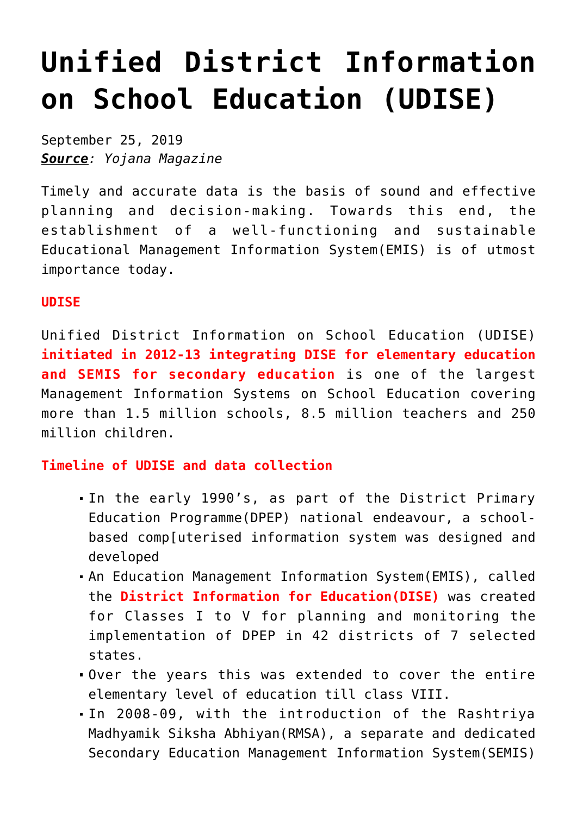# **[Unified District Information](https://journalsofindia.com/unified-district-information-on-school-education-udise/) [on School Education \(UDISE\)](https://journalsofindia.com/unified-district-information-on-school-education-udise/)**

September 25, 2019 *Source: Yojana Magazine*

Timely and accurate data is the basis of sound and effective planning and decision-making. Towards this end, the establishment of a well-functioning and sustainable Educational Management Information System(EMIS) is of utmost importance today.

#### **UDISE**

Unified District Information on School Education (UDISE) **initiated in 2012-13 integrating DISE for elementary education and SEMIS for secondary education** is one of the largest Management Information Systems on School Education covering more than 1.5 million schools, 8.5 million teachers and 250 million children.

## **Timeline of UDISE and data collection**

- In the early 1990's, as part of the District Primary Education Programme(DPEP) national endeavour, a schoolbased comp[uterised information system was designed and developed
- An Education Management Information System(EMIS), called the **District Information for Education(DISE)** was created for Classes I to V for planning and monitoring the implementation of DPEP in 42 districts of 7 selected states.
- Over the years this was extended to cover the entire elementary level of education till class VIII.
- In 2008-09, with the introduction of the Rashtriya Madhyamik Siksha Abhiyan(RMSA), a separate and dedicated Secondary Education Management Information System(SEMIS)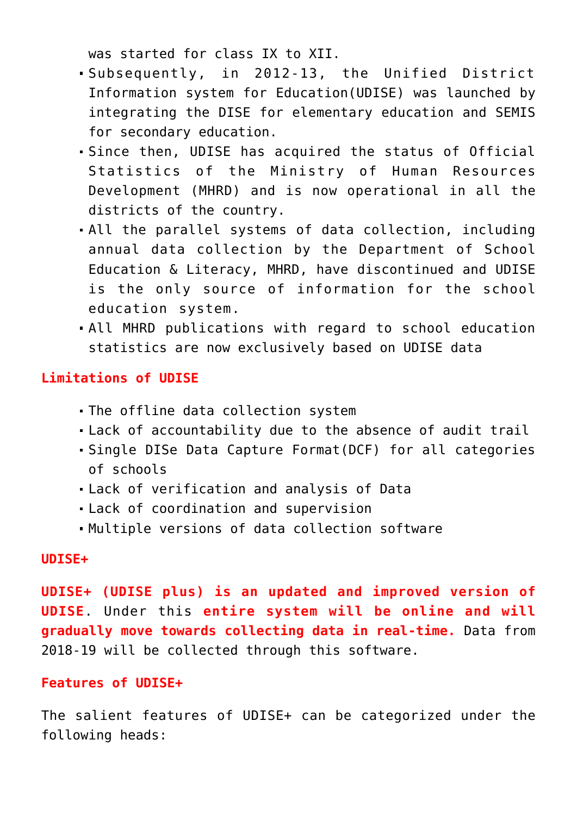was started for class IX to XII.

- Subsequently, in 2012-13, the Unified District Information system for Education(UDISE) was launched by integrating the DISE for elementary education and SEMIS for secondary education.
- Since then, UDISE has acquired the status of Official Statistics of the Ministry of Human Resources Development (MHRD) and is now operational in all the districts of the country.
- All the parallel systems of data collection, including annual data collection by the Department of School Education & Literacy, MHRD, have discontinued and UDISE is the only source of information for the school education system.
- All MHRD publications with regard to school education statistics are now exclusively based on UDISE data

# **Limitations of UDISE**

- The offline data collection system
- Lack of accountability due to the absence of audit trail
- Single DISe Data Capture Format(DCF) for all categories of schools
- Lack of verification and analysis of Data
- Lack of coordination and supervision
- Multiple versions of data collection software

## **UDISE+**

**UDISE+ (UDISE plus) is an updated and improved version of UDISE**. Under this **entire system will be online and will gradually move towards collecting data in real-time.** Data from 2018-19 will be collected through this software.

## **Features of UDISE+**

The salient features of UDISE+ can be categorized under the following heads: